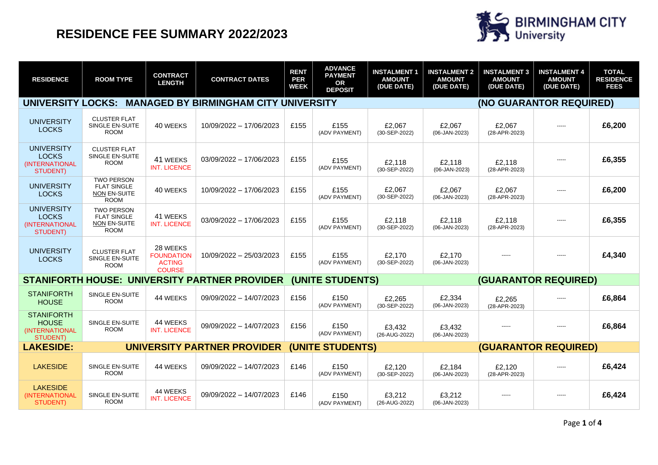

| <b>RESIDENCE</b>                                                              | <b>ROOM TYPE</b>                                                              | <b>CONTRACT</b><br><b>LENGTH</b>                                | <b>CONTRACT DATES</b>   | <b>RENT</b><br><b>PER</b><br><b>WEEK</b> | <b>ADVANCE</b><br><b>PAYMENT</b><br><b>OR</b><br><b>DEPOSIT</b> | <b>INSTALMENT 1</b><br><b>AMOUNT</b><br>(DUE DATE) | <b>INSTALMENT 2</b><br><b>AMOUNT</b><br>(DUE DATE) | <b>INSTALMENT 3</b><br><b>AMOUNT</b><br>(DUE DATE) | <b>INSTALMENT 4</b><br><b>AMOUNT</b><br>(DUE DATE) | <b>TOTAL</b><br><b>RESIDENCE</b><br><b>FEES</b> |
|-------------------------------------------------------------------------------|-------------------------------------------------------------------------------|-----------------------------------------------------------------|-------------------------|------------------------------------------|-----------------------------------------------------------------|----------------------------------------------------|----------------------------------------------------|----------------------------------------------------|----------------------------------------------------|-------------------------------------------------|
| <b>UNIVERSITY LOCKS:</b>                                                      | <b>MANAGED BY BIRMINGHAM CITY UNIVERSITY</b>                                  |                                                                 |                         |                                          |                                                                 |                                                    |                                                    | (NO GUARANTOR REQUIRED)                            |                                                    |                                                 |
| <b>UNIVERSITY</b><br><b>LOCKS</b>                                             | <b>CLUSTER FLAT</b><br><b>SINGLE EN-SUITE</b><br><b>ROOM</b>                  | 40 WEEKS                                                        | 10/09/2022 - 17/06/2023 | £155                                     | £155<br>(ADV PAYMENT)                                           | £2.067<br>(30-SEP-2022)                            | £2.067<br>(06-JAN-2023)                            | £2.067<br>(28-APR-2023)                            | -----                                              | £6,200                                          |
| <b>UNIVERSITY</b><br><b>LOCKS</b><br><b>(INTERNATIONAL</b><br><b>STUDENT)</b> | <b>CLUSTER FLAT</b><br><b>SINGLE EN-SUITE</b><br><b>ROOM</b>                  | 41 WEEKS<br><b>INT. LICENCE</b>                                 | 03/09/2022 - 17/06/2023 | £155                                     | £155<br>(ADV PAYMENT)                                           | £2.118<br>(30-SEP-2022)                            | £2.118<br>(06-JAN-2023)                            | £2,118<br>(28-APR-2023)                            | -----                                              | £6,355                                          |
| <b>UNIVERSITY</b><br><b>LOCKS</b>                                             | <b>TWO PERSON</b><br><b>FLAT SINGLE</b><br><b>NON EN-SUITE</b><br><b>ROOM</b> | 40 WEEKS                                                        | 10/09/2022 - 17/06/2023 | £155                                     | £155<br>(ADV PAYMENT)                                           | £2,067<br>(30-SEP-2022)                            | £2.067<br>(06-JAN-2023)                            | £2.067<br>(28-APR-2023)                            | -----                                              | £6,200                                          |
| <b>UNIVERSITY</b><br><b>LOCKS</b><br>(INTERNATIONAL<br>STUDENT)               | <b>TWO PERSON</b><br><b>FLAT SINGLE</b><br>NON EN-SUITE<br><b>ROOM</b>        | 41 WEEKS<br><b>INT. LICENCE</b>                                 | 03/09/2022 - 17/06/2023 | £155                                     | £155<br>(ADV PAYMENT)                                           | £2,118<br>(30-SEP-2022)                            | £2,118<br>(06-JAN-2023)                            | £2,118<br>(28-APR-2023)                            | -----                                              | £6,355                                          |
| <b>UNIVERSITY</b><br><b>LOCKS</b>                                             | <b>CLUSTER FLAT</b><br>SINGLE EN-SUITE<br><b>ROOM</b>                         | 28 WEEKS<br><b>FOUNDATION</b><br><b>ACTING</b><br><b>COURSE</b> | 10/09/2022 - 25/03/2023 | £155                                     | £155<br>(ADV PAYMENT)                                           | £2,170<br>(30-SEP-2022)                            | £2.170<br>(06-JAN-2023)                            | -----                                              | -----                                              | £4,340                                          |
|                                                                               | <b>STANIFORTH HOUSE: UNIVERSITY PARTNER PROVIDER</b>                          |                                                                 |                         | (UNITE STUDENTS)                         |                                                                 |                                                    |                                                    | <b>(GUARANTOR REQUIRED)</b>                        |                                                    |                                                 |
| <b>STANIFORTH</b><br><b>HOUSE</b>                                             | SINGLE EN-SUITE<br><b>ROOM</b>                                                | 44 WEEKS                                                        | 09/09/2022 - 14/07/2023 | £156                                     | £150<br>(ADV PAYMENT)                                           | £2,265<br>(30-SEP-2022)                            | £2.334<br>(06-JAN-2023)                            | £2,265<br>(28-APR-2023)                            | -----                                              | £6,864                                          |
| <b>STANIFORTH</b><br><b>HOUSE</b><br>(INTERNATIONAL<br><b>STUDENT)</b>        | SINGLE EN-SUITE<br><b>ROOM</b>                                                | 44 WEEKS<br><b>INT. LICENCE</b>                                 | 09/09/2022 - 14/07/2023 | £156                                     | £150<br>(ADV PAYMENT)                                           | £3,432<br>(26-AUG-2022)                            | £3,432<br>(06-JAN-2023)                            | -----                                              | -----                                              | £6,864                                          |
| <b>LAKESIDE:</b>                                                              | <b>UNIVERSITY PARTNER PROVIDER</b>                                            |                                                                 |                         |                                          | (UNITE STUDENTS)                                                |                                                    |                                                    | <b>(GUARANTOR REQUIRED)</b>                        |                                                    |                                                 |
| <b>LAKESIDE</b>                                                               | SINGLE EN-SUITE<br><b>ROOM</b>                                                | 44 WEEKS                                                        | 09/09/2022 - 14/07/2023 | £146                                     | £150<br>(ADV PAYMENT)                                           | £2.120<br>(30-SEP-2022)                            | £2.184<br>(06-JAN-2023)                            | £2,120<br>(28-APR-2023)                            | -----                                              | £6,424                                          |
| <b>LAKESIDE</b><br>(INTERNATIONAL<br><b>STUDENT)</b>                          | SINGLE EN-SUITE<br><b>ROOM</b>                                                | 44 WEEKS<br><b>INT. LICENCE</b>                                 | 09/09/2022 - 14/07/2023 | £146                                     | £150<br>(ADV PAYMENT)                                           | £3,212<br>(26-AUG-2022)                            | £3,212<br>(06-JAN-2023)                            | -----                                              | -----                                              | £6,424                                          |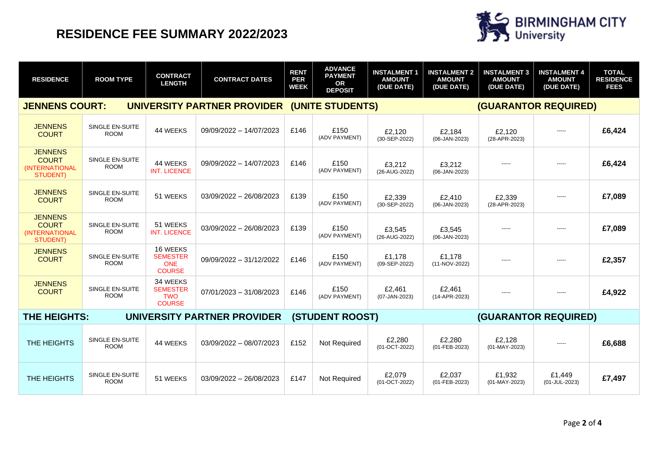

| <b>RESIDENCE</b>                                                    | <b>ROOM TYPE</b>                      | <b>CONTRACT</b><br><b>LENGTH</b>                           | <b>CONTRACT DATES</b>   | <b>RENT</b><br><b>PER</b><br><b>WEEK</b> | <b>ADVANCE</b><br><b>PAYMENT</b><br>OR<br><b>DEPOSIT</b> | <b>INSTALMENT 1</b><br><b>AMOUNT</b><br>(DUE DATE) | <b>INSTALMENT 2</b><br><b>AMOUNT</b><br>(DUE DATE) | <b>INSTALMENT 3</b><br><b>AMOUNT</b><br>(DUE DATE) | <b>INSTALMENT 4</b><br><b>AMOUNT</b><br>(DUE DATE) | <b>TOTAL</b><br><b>RESIDENCE</b><br><b>FEES</b> |
|---------------------------------------------------------------------|---------------------------------------|------------------------------------------------------------|-------------------------|------------------------------------------|----------------------------------------------------------|----------------------------------------------------|----------------------------------------------------|----------------------------------------------------|----------------------------------------------------|-------------------------------------------------|
| <b>JENNENS COURT:</b><br>UNIVERSITY PARTNER PROVIDER                |                                       |                                                            |                         |                                          | (UNITE STUDENTS)                                         |                                                    | <b>(GUARANTOR REQUIRED)</b>                        |                                                    |                                                    |                                                 |
| <b>JENNENS</b><br><b>COURT</b>                                      | SINGLE EN-SUITE<br><b>ROOM</b>        | 44 WEEKS                                                   | 09/09/2022 - 14/07/2023 | £146                                     | £150<br>(ADV PAYMENT)                                    | £2,120<br>(30-SEP-2022)                            | £2,184<br>(06-JAN-2023)                            | £2,120<br>(28-APR-2023)                            | -----                                              | £6,424                                          |
| <b>JENNENS</b><br><b>COURT</b><br>(INTERNATIONAL<br><b>STUDENT)</b> | SINGLE EN-SUITE<br><b>ROOM</b>        | 44 WEEKS<br><b>INT. LICENCE</b>                            | 09/09/2022 - 14/07/2023 | £146                                     | £150<br>(ADV PAYMENT)                                    | £3,212<br>(26-AUG-2022)                            | £3,212<br>(06-JAN-2023)                            |                                                    | -----                                              | £6,424                                          |
| <b>JENNENS</b><br><b>COURT</b>                                      | <b>SINGLE EN-SUITE</b><br><b>ROOM</b> | 51 WEEKS                                                   | 03/09/2022 - 26/08/2023 | £139                                     | £150<br>(ADV PAYMENT)                                    | £2,339<br>(30-SEP-2022)                            | £2,410<br>(06-JAN-2023)                            | £2,339<br>(28-APR-2023)                            | -----                                              | £7,089                                          |
| <b>JENNENS</b><br><b>COURT</b><br>(INTERNATIONAL<br><b>STUDENT)</b> | SINGLE EN-SUITE<br><b>ROOM</b>        | 51 WEEKS<br><b>INT. LICENCE</b>                            | 03/09/2022 - 26/08/2023 | £139                                     | £150<br>(ADV PAYMENT)                                    | £3,545<br>(26-AUG-2022)                            | £3,545<br>(06-JAN-2023)                            | -----                                              | -----                                              | £7,089                                          |
| <b>JENNENS</b><br><b>COURT</b>                                      | SINGLE EN-SUITE<br><b>ROOM</b>        | 16 WEEKS<br><b>SEMESTER</b><br><b>ONE</b><br><b>COURSE</b> | 09/09/2022 - 31/12/2022 | £146                                     | £150<br>(ADV PAYMENT)                                    | £1,178<br>(09-SEP-2022)                            | £1.178<br>(11-NOV-2022)                            | -----                                              | -----                                              | £2,357                                          |
| <b>JENNENS</b><br><b>COURT</b>                                      | <b>SINGLE EN-SUITE</b><br><b>ROOM</b> | 34 WEEKS<br><b>SEMESTER</b><br><b>TWO</b><br><b>COURSE</b> | 07/01/2023 - 31/08/2023 | £146                                     | £150<br>(ADV PAYMENT)                                    | £2,461<br>(07-JAN-2023)                            | £2,461<br>(14-APR-2023)                            | -----                                              | -----                                              | £4,922                                          |
| THE HEIGHTS:<br>UNIVERSITY PARTNER PROVIDER                         |                                       |                                                            |                         | <b>(STUDENT ROOST)</b>                   |                                                          | (GUARANTOR REQUIRED)                               |                                                    |                                                    |                                                    |                                                 |
| THE HEIGHTS                                                         | SINGLE EN-SUITE<br><b>ROOM</b>        | 44 WEEKS                                                   | 03/09/2022 - 08/07/2023 | £152                                     | Not Required                                             | £2,280<br>(01-OCT-2022)                            | £2.280<br>(01-FEB-2023)                            | £2.128<br>(01-MAY-2023)                            | -----                                              | £6,688                                          |
| THE HEIGHTS                                                         | SINGLE EN-SUITE<br><b>ROOM</b>        | 51 WEEKS                                                   | 03/09/2022 - 26/08/2023 | £147                                     | <b>Not Required</b>                                      | £2.079<br>(01-OCT-2022)                            | £2.037<br>(01-FEB-2023)                            | £1,932<br>(01-MAY-2023)                            | £1.449<br>(01-JUL-2023)                            | £7,497                                          |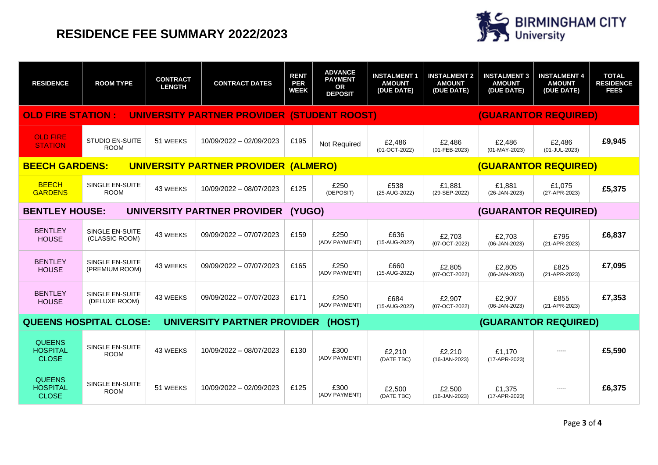

| <b>RESIDENCE</b>                                                         | <b>ROOM TYPE</b>                         | <b>CONTRACT</b><br><b>LENGTH</b> | <b>CONTRACT DATES</b>   | <b>RENT</b><br><b>PER</b><br><b>WEEK</b> | <b>ADVANCE</b><br><b>PAYMENT</b><br><b>OR</b><br><b>DEPOSIT</b> | <b>INSTALMENT 1</b><br><b>AMOUNT</b><br>(DUE DATE) | <b>INSTALMENT 2</b><br><b>AMOUNT</b><br>(DUE DATE) | <b>INSTALMENT 3</b><br><b>AMOUNT</b><br>(DUE DATE) | <b>INSTALMENT 4</b><br><b>AMOUNT</b><br>(DUE DATE) | <b>TOTAL</b><br><b>RESIDENCE</b><br><b>FEES</b> |
|--------------------------------------------------------------------------|------------------------------------------|----------------------------------|-------------------------|------------------------------------------|-----------------------------------------------------------------|----------------------------------------------------|----------------------------------------------------|----------------------------------------------------|----------------------------------------------------|-------------------------------------------------|
| <b>OLD FIRE STATION :</b><br>UNIVERSITY PARTNER PROVIDER (STUDENT ROOST) |                                          |                                  |                         |                                          | <b>(GUARANTOR REQUIRED)</b>                                     |                                                    |                                                    |                                                    |                                                    |                                                 |
| <b>OLD FIRE</b><br><b>STATION</b>                                        | <b>STUDIO EN-SUITE</b><br><b>ROOM</b>    | 51 WEEKS                         | 10/09/2022 - 02/09/2023 | £195                                     | Not Required                                                    | £2.486<br>(01-OCT-2022)                            | £2.486<br>(01-FEB-2023)                            | £2.486<br>(01-MAY-2023)                            | £2.486<br>(01-JUL-2023)                            | £9,945                                          |
| <b>BEECH GARDENS:</b><br>UNIVERSITY PARTNER PROVIDER                     |                                          |                                  |                         |                                          | <b>(GUARANTOR REQUIRED)</b><br>(ALMERO)                         |                                                    |                                                    |                                                    |                                                    |                                                 |
| <b>BEECH</b><br><b>GARDENS</b>                                           | SINGLE EN-SUITE<br><b>ROOM</b>           | 43 WEEKS                         | 10/09/2022 - 08/07/2023 | £125                                     | £250<br>(DEPOSIT)                                               | £538<br>(25-AUG-2022)                              | £1.881<br>(29-SEP-2022)                            | £1.881<br>(26-JAN-2023)                            | £1.075<br>(27-APR-2023)                            | £5,375                                          |
| <b>BENTLEY HOUSE:</b><br>UNIVERSITY PARTNER PROVIDER                     |                                          |                                  |                         |                                          | (GUARANTOR REQUIRED)<br>(YUGO)                                  |                                                    |                                                    |                                                    |                                                    |                                                 |
| <b>BENTLEY</b><br><b>HOUSE</b>                                           | <b>SINGLE EN-SUITE</b><br>(CLASSIC ROOM) | 43 WEEKS                         | 09/09/2022 - 07/07/2023 | £159                                     | £250<br>(ADV PAYMENT)                                           | £636<br>(15-AUG-2022)                              | £2.703<br>(07-OCT-2022)                            | £2.703<br>(06-JAN-2023)                            | £795<br>(21-APR-2023)                              | £6,837                                          |
| <b>BENTLEY</b><br><b>HOUSE</b>                                           | <b>SINGLE EN-SUITE</b><br>(PREMIUM ROOM) | 43 WEEKS                         | 09/09/2022 - 07/07/2023 | £165                                     | £250<br>(ADV PAYMENT)                                           | £660<br>(15-AUG-2022)                              | £2.805<br>(07-OCT-2022)                            | £2.805<br>(06-JAN-2023)                            | £825<br>(21-APR-2023)                              | £7,095                                          |
| <b>BENTLEY</b><br><b>HOUSE</b>                                           | SINGLE EN-SUITE<br>(DELUXE ROOM)         | 43 WEEKS                         | 09/09/2022 - 07/07/2023 | £171                                     | £250<br>(ADV PAYMENT)                                           | £684<br>(15-AUG-2022)                              | £2.907<br>(07-OCT-2022)                            | £2.907<br>(06-JAN-2023)                            | £855<br>(21-APR-2023)                              | £7,353                                          |
| <b>QUEENS HOSPITAL CLOSE:</b><br>UNIVERSITY PARTNER PROVIDER             |                                          |                                  |                         | <b>(GUARANTOR REQUIRED)</b><br>(HOST)    |                                                                 |                                                    |                                                    |                                                    |                                                    |                                                 |
| <b>QUEENS</b><br><b>HOSPITAL</b><br><b>CLOSE</b>                         | SINGLE EN-SUITE<br><b>ROOM</b>           | 43 WEEKS                         | 10/09/2022 - 08/07/2023 | £130                                     | £300<br>(ADV PAYMENT)                                           | £2,210<br>(DATE TBC)                               | £2,210<br>$(16-JAN-2023)$                          | £1.170<br>(17-APR-2023)                            | -----                                              | £5,590                                          |
| <b>QUEENS</b><br><b>HOSPITAL</b><br><b>CLOSE</b>                         | <b>SINGLE EN-SUITE</b><br><b>ROOM</b>    | 51 WEEKS                         | 10/09/2022 - 02/09/2023 | £125                                     | £300<br>(ADV PAYMENT)                                           | £2,500<br>(DATE TBC)                               | £2,500<br>(16-JAN-2023)                            | £1,375<br>(17-APR-2023)                            | -----                                              | £6,375                                          |